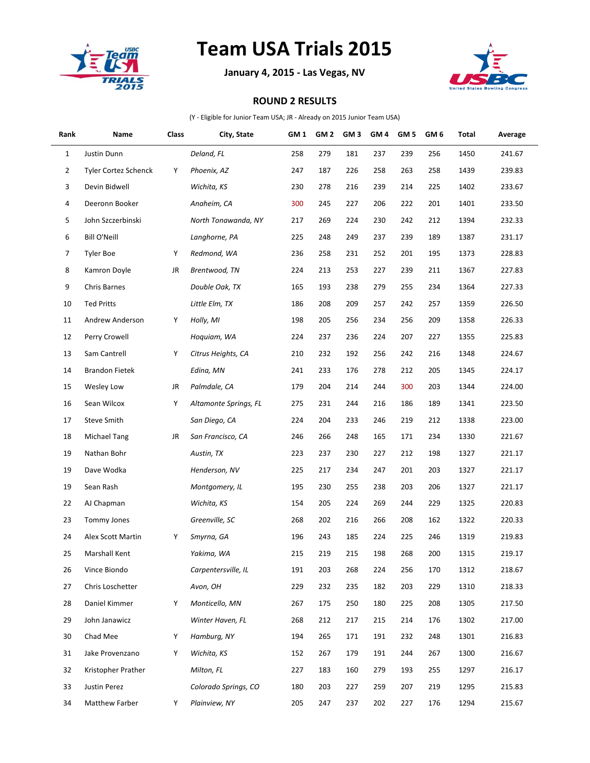

## **Team USA Trials 2015**

**January 4, 2015 - Las Vegas, NV**



## **ROUND 2 RESULTS**

(Y - Eligible for Junior Team USA; JR - Already on 2015 Junior Team USA)

| Rank | Name                        | Class | City, State           | GM <sub>1</sub> | GM <sub>2</sub> | GM <sub>3</sub> | GM <sub>4</sub> | GM <sub>5</sub> | GM <sub>6</sub> | Total | Average |
|------|-----------------------------|-------|-----------------------|-----------------|-----------------|-----------------|-----------------|-----------------|-----------------|-------|---------|
| 1    | Justin Dunn                 |       | Deland, FL            | 258             | 279             | 181             | 237             | 239             | 256             | 1450  | 241.67  |
| 2    | <b>Tyler Cortez Schenck</b> | Υ     | Phoenix, AZ           | 247             | 187             | 226             | 258             | 263             | 258             | 1439  | 239.83  |
| 3    | Devin Bidwell               |       | Wichita, KS           | 230             | 278             | 216             | 239             | 214             | 225             | 1402  | 233.67  |
| 4    | Deeronn Booker              |       | Anaheim, CA           | 300             | 245             | 227             | 206             | 222             | 201             | 1401  | 233.50  |
| 5    | John Szczerbinski           |       | North Tonawanda, NY   | 217             | 269             | 224             | 230             | 242             | 212             | 1394  | 232.33  |
| 6    | <b>Bill O'Neill</b>         |       | Langhorne, PA         | 225             | 248             | 249             | 237             | 239             | 189             | 1387  | 231.17  |
| 7    | Tyler Boe                   | Υ     | Redmond, WA           | 236             | 258             | 231             | 252             | 201             | 195             | 1373  | 228.83  |
| 8    | Kamron Doyle                | JR    | Brentwood, TN         | 224             | 213             | 253             | 227             | 239             | 211             | 1367  | 227.83  |
| 9    | Chris Barnes                |       | Double Oak, TX        | 165             | 193             | 238             | 279             | 255             | 234             | 1364  | 227.33  |
| 10   | <b>Ted Pritts</b>           |       | Little Elm, TX        | 186             | 208             | 209             | 257             | 242             | 257             | 1359  | 226.50  |
| 11   | Andrew Anderson             | Υ     | Holly, MI             | 198             | 205             | 256             | 234             | 256             | 209             | 1358  | 226.33  |
| 12   | Perry Crowell               |       | Hoquiam, WA           | 224             | 237             | 236             | 224             | 207             | 227             | 1355  | 225.83  |
| 13   | Sam Cantrell                | Υ     | Citrus Heights, CA    | 210             | 232             | 192             | 256             | 242             | 216             | 1348  | 224.67  |
| 14   | <b>Brandon Fietek</b>       |       | Edina, MN             | 241             | 233             | 176             | 278             | 212             | 205             | 1345  | 224.17  |
| 15   | Wesley Low                  | JR    | Palmdale, CA          | 179             | 204             | 214             | 244             | 300             | 203             | 1344  | 224.00  |
| 16   | Sean Wilcox                 | Υ     | Altamonte Springs, FL | 275             | 231             | 244             | 216             | 186             | 189             | 1341  | 223.50  |
| 17   | <b>Steve Smith</b>          |       | San Diego, CA         | 224             | 204             | 233             | 246             | 219             | 212             | 1338  | 223.00  |
| 18   | Michael Tang                | JR    | San Francisco, CA     | 246             | 266             | 248             | 165             | 171             | 234             | 1330  | 221.67  |
| 19   | Nathan Bohr                 |       | Austin, TX            | 223             | 237             | 230             | 227             | 212             | 198             | 1327  | 221.17  |
| 19   | Dave Wodka                  |       | Henderson, NV         | 225             | 217             | 234             | 247             | 201             | 203             | 1327  | 221.17  |
| 19   | Sean Rash                   |       | Montgomery, IL        | 195             | 230             | 255             | 238             | 203             | 206             | 1327  | 221.17  |
| 22   | AJ Chapman                  |       | Wichita, KS           | 154             | 205             | 224             | 269             | 244             | 229             | 1325  | 220.83  |
| 23   | <b>Tommy Jones</b>          |       | Greenville, SC        | 268             | 202             | 216             | 266             | 208             | 162             | 1322  | 220.33  |
| 24   | Alex Scott Martin           | Υ     | Smyrna, GA            | 196             | 243             | 185             | 224             | 225             | 246             | 1319  | 219.83  |
| 25   | Marshall Kent               |       | Yakima, WA            | 215             | 219             | 215             | 198             | 268             | 200             | 1315  | 219.17  |
| 26   | Vince Biondo                |       | Carpentersville, IL   | 191             | 203             | 268             | 224             | 256             | 170             | 1312  | 218.67  |
| 27   | Chris Loschetter            |       | Avon, OH              | 229             | 232             | 235             | 182             | 203             | 229             | 1310  | 218.33  |
| 28   | Daniel Kimmer               | Υ     | Monticello, MN        | 267             | 175             | 250             | 180             | 225             | 208             | 1305  | 217.50  |
| 29   | John Janawicz               |       | Winter Haven, FL      | 268             | 212             | 217             | 215             | 214             | 176             | 1302  | 217.00  |
| 30   | Chad Mee                    | Υ     | Hamburg, NY           | 194             | 265             | 171             | 191             | 232             | 248             | 1301  | 216.83  |
| 31   | Jake Provenzano             | Υ     | Wichita, KS           | 152             | 267             | 179             | 191             | 244             | 267             | 1300  | 216.67  |
| 32   | Kristopher Prather          |       | Milton, FL            | 227             | 183             | 160             | 279             | 193             | 255             | 1297  | 216.17  |
| 33   | Justin Perez                |       | Colorado Springs, CO  | 180             | 203             | 227             | 259             | 207             | 219             | 1295  | 215.83  |
| 34   | Matthew Farber              | Y     | Plainview, NY         | 205             | 247             | 237             | 202             | 227             | 176             | 1294  | 215.67  |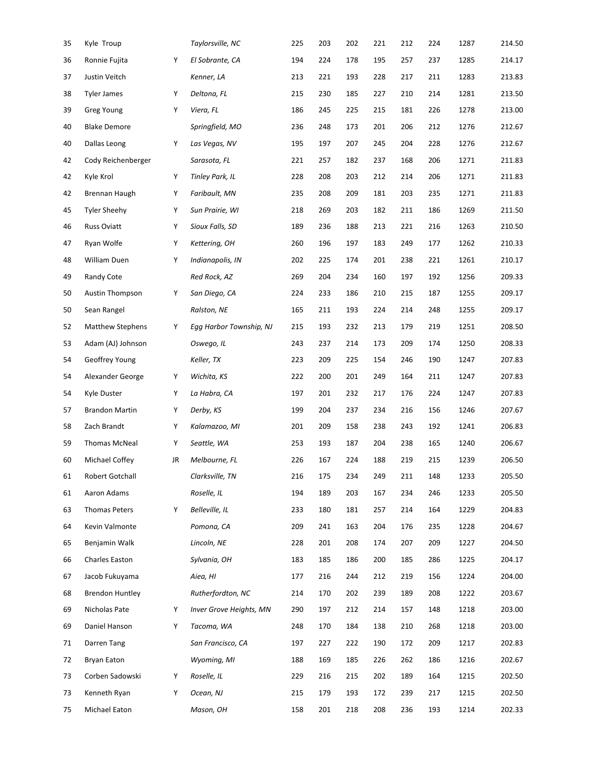| 35 | Kyle Troup              |    | Taylorsville, NC        | 225 | 203 | 202 | 221 | 212 | 224 | 1287 | 214.50 |
|----|-------------------------|----|-------------------------|-----|-----|-----|-----|-----|-----|------|--------|
| 36 | Ronnie Fujita           | Υ  | El Sobrante, CA         | 194 | 224 | 178 | 195 | 257 | 237 | 1285 | 214.17 |
| 37 | Justin Veitch           |    | Kenner, LA              | 213 | 221 | 193 | 228 | 217 | 211 | 1283 | 213.83 |
| 38 | <b>Tyler James</b>      | Υ  | Deltona, FL             | 215 | 230 | 185 | 227 | 210 | 214 | 1281 | 213.50 |
| 39 | <b>Greg Young</b>       | Υ  | Viera, FL               | 186 | 245 | 225 | 215 | 181 | 226 | 1278 | 213.00 |
| 40 | <b>Blake Demore</b>     |    | Springfield, MO         | 236 | 248 | 173 | 201 | 206 | 212 | 1276 | 212.67 |
| 40 | Dallas Leong            | Υ  | Las Vegas, NV           | 195 | 197 | 207 | 245 | 204 | 228 | 1276 | 212.67 |
| 42 | Cody Reichenberger      |    | Sarasota, FL            | 221 | 257 | 182 | 237 | 168 | 206 | 1271 | 211.83 |
| 42 | Kyle Krol               | Υ  | <b>Tinley Park, IL</b>  | 228 | 208 | 203 | 212 | 214 | 206 | 1271 | 211.83 |
| 42 | Brennan Haugh           | Υ  | Faribault, MN           | 235 | 208 | 209 | 181 | 203 | 235 | 1271 | 211.83 |
| 45 | <b>Tyler Sheehy</b>     | Υ  | Sun Prairie, WI         | 218 | 269 | 203 | 182 | 211 | 186 | 1269 | 211.50 |
| 46 | <b>Russ Oviatt</b>      | Υ  | Sioux Falls, SD         | 189 | 236 | 188 | 213 | 221 | 216 | 1263 | 210.50 |
| 47 | Ryan Wolfe              | Υ  | Kettering, OH           | 260 | 196 | 197 | 183 | 249 | 177 | 1262 | 210.33 |
| 48 | William Duen            | Υ  | Indianapolis, IN        | 202 | 225 | 174 | 201 | 238 | 221 | 1261 | 210.17 |
| 49 | Randy Cote              |    | Red Rock, AZ            | 269 | 204 | 234 | 160 | 197 | 192 | 1256 | 209.33 |
| 50 | <b>Austin Thompson</b>  | Υ  | San Diego, CA           | 224 | 233 | 186 | 210 | 215 | 187 | 1255 | 209.17 |
| 50 | Sean Rangel             |    | Ralston, NE             | 165 | 211 | 193 | 224 | 214 | 248 | 1255 | 209.17 |
| 52 | <b>Matthew Stephens</b> | Υ  | Egg Harbor Township, NJ | 215 | 193 | 232 | 213 | 179 | 219 | 1251 | 208.50 |
| 53 | Adam (AJ) Johnson       |    | Oswego, IL              | 243 | 237 | 214 | 173 | 209 | 174 | 1250 | 208.33 |
| 54 | Geoffrey Young          |    | Keller, TX              | 223 | 209 | 225 | 154 | 246 | 190 | 1247 | 207.83 |
| 54 | Alexander George        | Υ  | Wichita, KS             | 222 | 200 | 201 | 249 | 164 | 211 | 1247 | 207.83 |
| 54 | Kyle Duster             | Υ  | La Habra, CA            | 197 | 201 | 232 | 217 | 176 | 224 | 1247 | 207.83 |
| 57 | <b>Brandon Martin</b>   | Υ  | Derby, KS               | 199 | 204 | 237 | 234 | 216 | 156 | 1246 | 207.67 |
| 58 | Zach Brandt             | Υ  | Kalamazoo, MI           | 201 | 209 | 158 | 238 | 243 | 192 | 1241 | 206.83 |
| 59 | <b>Thomas McNeal</b>    | Υ  | Seattle, WA             | 253 | 193 | 187 | 204 | 238 | 165 | 1240 | 206.67 |
| 60 | Michael Coffey          | JR | Melbourne, FL           | 226 | 167 | 224 | 188 | 219 | 215 | 1239 | 206.50 |
| 61 | Robert Gotchall         |    | Clarksville, TN         | 216 | 175 | 234 | 249 | 211 | 148 | 1233 | 205.50 |
| 61 | Aaron Adams             |    | Roselle, IL             | 194 | 189 | 203 | 167 | 234 | 246 | 1233 | 205.50 |
| 63 | <b>Thomas Peters</b>    | Υ  | Belleville, IL          | 233 | 180 | 181 | 257 | 214 | 164 | 1229 | 204.83 |
| 64 | Kevin Valmonte          |    | Pomona, CA              | 209 | 241 | 163 | 204 | 176 | 235 | 1228 | 204.67 |
| 65 | Benjamin Walk           |    | Lincoln, NE             | 228 | 201 | 208 | 174 | 207 | 209 | 1227 | 204.50 |
| 66 | Charles Easton          |    | Sylvania, OH            | 183 | 185 | 186 | 200 | 185 | 286 | 1225 | 204.17 |
| 67 | Jacob Fukuyama          |    | Aiea, HI                | 177 | 216 | 244 | 212 | 219 | 156 | 1224 | 204.00 |
| 68 | <b>Brendon Huntley</b>  |    | Rutherfordton, NC       | 214 | 170 | 202 | 239 | 189 | 208 | 1222 | 203.67 |
| 69 | Nicholas Pate           | Υ  | Inver Grove Heights, MN | 290 | 197 | 212 | 214 | 157 | 148 | 1218 | 203.00 |
| 69 | Daniel Hanson           | Υ  | Tacoma, WA              | 248 | 170 | 184 | 138 | 210 | 268 | 1218 | 203.00 |
| 71 | Darren Tang             |    | San Francisco, CA       | 197 | 227 | 222 | 190 | 172 | 209 | 1217 | 202.83 |
| 72 | <b>Bryan Eaton</b>      |    | Wyoming, MI             | 188 | 169 | 185 | 226 | 262 | 186 | 1216 | 202.67 |
| 73 | Corben Sadowski         | Υ  | Roselle, IL             | 229 | 216 | 215 | 202 | 189 | 164 | 1215 | 202.50 |
| 73 | Kenneth Ryan            | Υ  | Ocean, NJ               | 215 | 179 | 193 | 172 | 239 | 217 | 1215 | 202.50 |
| 75 | Michael Eaton           |    | Mason, OH               | 158 | 201 | 218 | 208 | 236 | 193 | 1214 | 202.33 |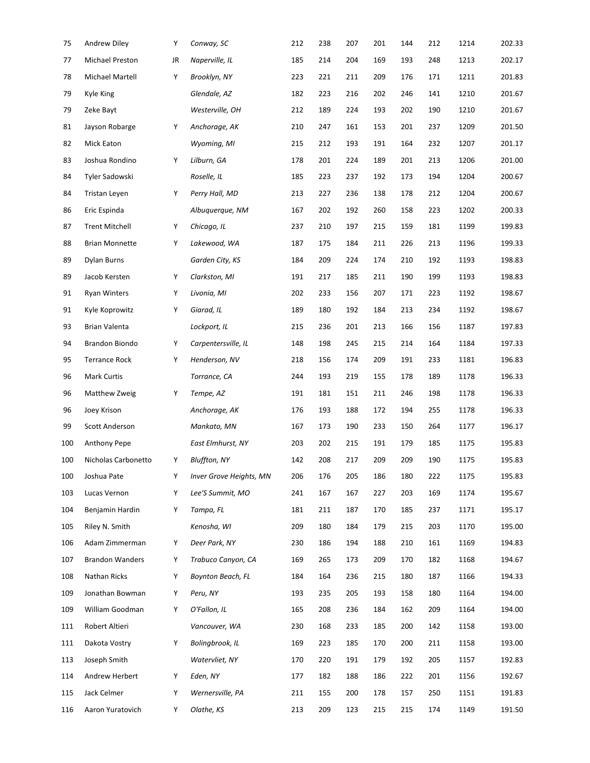| 75  | Andrew Diley           | Υ  | Conway, SC              | 212 | 238 | 207 | 201 | 144 | 212 | 1214 | 202.33 |
|-----|------------------------|----|-------------------------|-----|-----|-----|-----|-----|-----|------|--------|
| 77  | Michael Preston        | JR | Naperville, IL          | 185 | 214 | 204 | 169 | 193 | 248 | 1213 | 202.17 |
| 78  | Michael Martell        | Υ  | Brooklyn, NY            | 223 | 221 | 211 | 209 | 176 | 171 | 1211 | 201.83 |
| 79  | <b>Kyle King</b>       |    | Glendale, AZ            | 182 | 223 | 216 | 202 | 246 | 141 | 1210 | 201.67 |
| 79  | Zeke Bayt              |    | Westerville, OH         | 212 | 189 | 224 | 193 | 202 | 190 | 1210 | 201.67 |
| 81  | Jayson Robarge         | Y  | Anchorage, AK           | 210 | 247 | 161 | 153 | 201 | 237 | 1209 | 201.50 |
| 82  | Mick Eaton             |    | Wyoming, MI             | 215 | 212 | 193 | 191 | 164 | 232 | 1207 | 201.17 |
| 83  | Joshua Rondino         | Υ  | Lilburn, GA             | 178 | 201 | 224 | 189 | 201 | 213 | 1206 | 201.00 |
| 84  | Tyler Sadowski         |    | Roselle, IL             | 185 | 223 | 237 | 192 | 173 | 194 | 1204 | 200.67 |
| 84  | Tristan Leyen          | Υ  | Perry Hall, MD          | 213 | 227 | 236 | 138 | 178 | 212 | 1204 | 200.67 |
| 86  | Eric Espinda           |    | Albuquerque, NM         | 167 | 202 | 192 | 260 | 158 | 223 | 1202 | 200.33 |
| 87  | <b>Trent Mitchell</b>  | Υ  | Chicago, IL             | 237 | 210 | 197 | 215 | 159 | 181 | 1199 | 199.83 |
| 88  | <b>Brian Monnette</b>  | Υ  | Lakewood, WA            | 187 | 175 | 184 | 211 | 226 | 213 | 1196 | 199.33 |
| 89  | Dylan Burns            |    | Garden City, KS         | 184 | 209 | 224 | 174 | 210 | 192 | 1193 | 198.83 |
| 89  | Jacob Kersten          | Υ  | Clarkston, MI           | 191 | 217 | 185 | 211 | 190 | 199 | 1193 | 198.83 |
| 91  | <b>Ryan Winters</b>    | Υ  | Livonia, MI             | 202 | 233 | 156 | 207 | 171 | 223 | 1192 | 198.67 |
| 91  | Kyle Koprowitz         | Υ  | Giarad, IL              | 189 | 180 | 192 | 184 | 213 | 234 | 1192 | 198.67 |
| 93  | Brian Valenta          |    | Lockport, IL            | 215 | 236 | 201 | 213 | 166 | 156 | 1187 | 197.83 |
| 94  | Brandon Biondo         | Υ  | Carpentersville, IL     | 148 | 198 | 245 | 215 | 214 | 164 | 1184 | 197.33 |
| 95  | <b>Terrance Rock</b>   | Υ  | Henderson, NV           | 218 | 156 | 174 | 209 | 191 | 233 | 1181 | 196.83 |
| 96  | Mark Curtis            |    | Torrance, CA            | 244 | 193 | 219 | 155 | 178 | 189 | 1178 | 196.33 |
| 96  | Matthew Zweig          | Y  | Tempe, AZ               | 191 | 181 | 151 | 211 | 246 | 198 | 1178 | 196.33 |
| 96  | Joey Krison            |    | Anchorage, AK           | 176 | 193 | 188 | 172 | 194 | 255 | 1178 | 196.33 |
| 99  | Scott Anderson         |    | Mankato, MN             | 167 | 173 | 190 | 233 | 150 | 264 | 1177 | 196.17 |
| 100 | Anthony Pepe           |    | East Elmhurst, NY       | 203 | 202 | 215 | 191 | 179 | 185 | 1175 | 195.83 |
| 100 | Nicholas Carbonetto    | Y  | <b>Bluffton, NY</b>     | 142 | 208 | 217 | 209 | 209 | 190 | 1175 | 195.83 |
| 100 | Joshua Pate            | Υ  | Inver Grove Heights, MN | 206 | 176 | 205 | 186 | 180 | 222 | 1175 | 195.83 |
| 103 | Lucas Vernon           | Υ  | Lee'S Summit, MO        | 241 | 167 | 167 | 227 | 203 | 169 | 1174 | 195.67 |
| 104 | Benjamin Hardin        | Υ  | Tampa, FL               | 181 | 211 | 187 | 170 | 185 | 237 | 1171 | 195.17 |
| 105 | Riley N. Smith         |    | Kenosha, WI             | 209 | 180 | 184 | 179 | 215 | 203 | 1170 | 195.00 |
| 106 | Adam Zimmerman         | Υ  | Deer Park, NY           | 230 | 186 | 194 | 188 | 210 | 161 | 1169 | 194.83 |
| 107 | <b>Brandon Wanders</b> | Υ  | Trabuco Canyon, CA      | 169 | 265 | 173 | 209 | 170 | 182 | 1168 | 194.67 |
| 108 | Nathan Ricks           | Υ  | Boynton Beach, FL       | 184 | 164 | 236 | 215 | 180 | 187 | 1166 | 194.33 |
| 109 | Jonathan Bowman        | Υ  | Peru, NY                | 193 | 235 | 205 | 193 | 158 | 180 | 1164 | 194.00 |
| 109 | William Goodman        | Υ  | O'Fallon, IL            | 165 | 208 | 236 | 184 | 162 | 209 | 1164 | 194.00 |
| 111 | Robert Altieri         |    | Vancouver, WA           | 230 | 168 | 233 | 185 | 200 | 142 | 1158 | 193.00 |
| 111 | Dakota Vostry          | Υ  | Bolingbrook, IL         | 169 | 223 | 185 | 170 | 200 | 211 | 1158 | 193.00 |
| 113 | Joseph Smith           |    | Watervliet, NY          | 170 | 220 | 191 | 179 | 192 | 205 | 1157 | 192.83 |
| 114 | Andrew Herbert         | Υ  | Eden, NY                | 177 | 182 | 188 | 186 | 222 | 201 | 1156 | 192.67 |
| 115 | Jack Celmer            | Υ  | Wernersville, PA        | 211 | 155 | 200 | 178 | 157 | 250 | 1151 | 191.83 |
| 116 | Aaron Yuratovich       | Y  | Olathe, KS              | 213 | 209 | 123 | 215 | 215 | 174 | 1149 | 191.50 |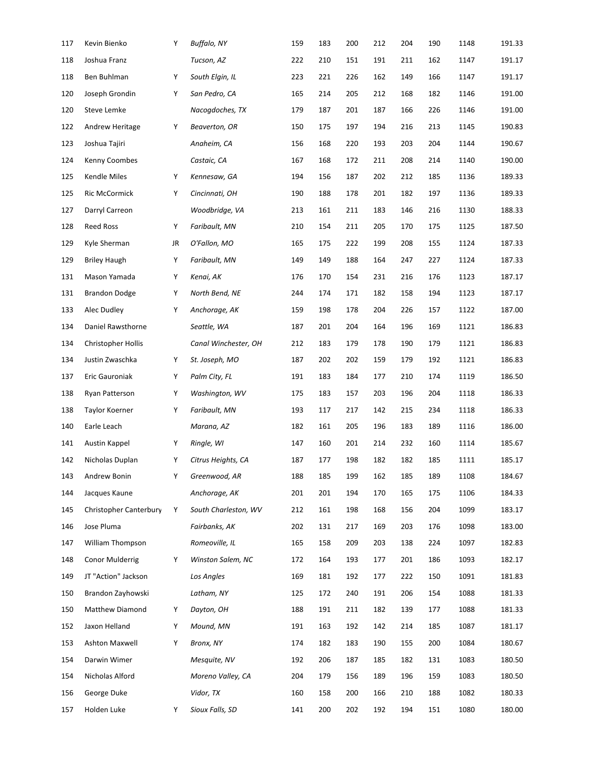| 117 | Kevin Bienko              | Υ  | <b>Buffalo, NY</b>   | 159 | 183 | 200 | 212 | 204 | 190 | 1148 | 191.33 |
|-----|---------------------------|----|----------------------|-----|-----|-----|-----|-----|-----|------|--------|
| 118 | Joshua Franz              |    | Tucson, AZ           | 222 | 210 | 151 | 191 | 211 | 162 | 1147 | 191.17 |
| 118 | Ben Buhlman               | Υ  | South Elgin, IL      | 223 | 221 | 226 | 162 | 149 | 166 | 1147 | 191.17 |
| 120 | Joseph Grondin            | Υ  | San Pedro, CA        | 165 | 214 | 205 | 212 | 168 | 182 | 1146 | 191.00 |
| 120 | Steve Lemke               |    | Nacogdoches, TX      | 179 | 187 | 201 | 187 | 166 | 226 | 1146 | 191.00 |
| 122 | Andrew Heritage           | Υ  | Beaverton, OR        | 150 | 175 | 197 | 194 | 216 | 213 | 1145 | 190.83 |
| 123 | Joshua Tajiri             |    | Anaheim, CA          | 156 | 168 | 220 | 193 | 203 | 204 | 1144 | 190.67 |
| 124 | Kenny Coombes             |    | Castaic, CA          | 167 | 168 | 172 | 211 | 208 | 214 | 1140 | 190.00 |
| 125 | Kendle Miles              | Υ  | Kennesaw, GA         | 194 | 156 | 187 | 202 | 212 | 185 | 1136 | 189.33 |
| 125 | <b>Ric McCormick</b>      | Υ  | Cincinnati, OH       | 190 | 188 | 178 | 201 | 182 | 197 | 1136 | 189.33 |
| 127 | Darryl Carreon            |    | Woodbridge, VA       | 213 | 161 | 211 | 183 | 146 | 216 | 1130 | 188.33 |
| 128 | <b>Reed Ross</b>          | Υ  | Faribault, MN        | 210 | 154 | 211 | 205 | 170 | 175 | 1125 | 187.50 |
| 129 | Kyle Sherman              | JR | O'Fallon, MO         | 165 | 175 | 222 | 199 | 208 | 155 | 1124 | 187.33 |
| 129 | <b>Briley Haugh</b>       | Υ  | Faribault, MN        | 149 | 149 | 188 | 164 | 247 | 227 | 1124 | 187.33 |
| 131 | Mason Yamada              | Υ  | Kenai, AK            | 176 | 170 | 154 | 231 | 216 | 176 | 1123 | 187.17 |
| 131 | <b>Brandon Dodge</b>      | Υ  | North Bend, NE       | 244 | 174 | 171 | 182 | 158 | 194 | 1123 | 187.17 |
| 133 | Alec Dudley               | Υ  | Anchorage, AK        | 159 | 198 | 178 | 204 | 226 | 157 | 1122 | 187.00 |
| 134 | Daniel Rawsthorne         |    | Seattle, WA          | 187 | 201 | 204 | 164 | 196 | 169 | 1121 | 186.83 |
| 134 | <b>Christopher Hollis</b> |    | Canal Winchester, OH | 212 | 183 | 179 | 178 | 190 | 179 | 1121 | 186.83 |
| 134 | Justin Zwaschka           | Υ  | St. Joseph, MO       | 187 | 202 | 202 | 159 | 179 | 192 | 1121 | 186.83 |
| 137 | Eric Gauroniak            | Υ  | Palm City, FL        | 191 | 183 | 184 | 177 | 210 | 174 | 1119 | 186.50 |
| 138 | Ryan Patterson            | Υ  | Washington, WV       | 175 | 183 | 157 | 203 | 196 | 204 | 1118 | 186.33 |
| 138 | Taylor Koerner            | Υ  | Faribault, MN        | 193 | 117 | 217 | 142 | 215 | 234 | 1118 | 186.33 |
| 140 | Earle Leach               |    | Marana, AZ           | 182 | 161 | 205 | 196 | 183 | 189 | 1116 | 186.00 |
| 141 | Austin Kappel             | Υ  | Ringle, WI           | 147 | 160 | 201 | 214 | 232 | 160 | 1114 | 185.67 |
| 142 | Nicholas Duplan           | Υ  | Citrus Heights, CA   | 187 | 177 | 198 | 182 | 182 | 185 | 1111 | 185.17 |
| 143 | Andrew Bonin              | Υ  | Greenwood, AR        | 188 | 185 | 199 | 162 | 185 | 189 | 1108 | 184.67 |
| 144 | Jacques Kaune             |    | Anchorage, AK        | 201 | 201 | 194 | 170 | 165 | 175 | 1106 | 184.33 |
| 145 | Christopher Canterbury    | Υ  | South Charleston, WV | 212 | 161 | 198 | 168 | 156 | 204 | 1099 | 183.17 |
| 146 | Jose Pluma                |    | Fairbanks, AK        | 202 | 131 | 217 | 169 | 203 | 176 | 1098 | 183.00 |
| 147 | William Thompson          |    | Romeoville, IL       | 165 | 158 | 209 | 203 | 138 | 224 | 1097 | 182.83 |
| 148 | Conor Mulderrig           | Υ  | Winston Salem, NC    | 172 | 164 | 193 | 177 | 201 | 186 | 1093 | 182.17 |
| 149 | JT "Action" Jackson       |    | Los Angles           | 169 | 181 | 192 | 177 | 222 | 150 | 1091 | 181.83 |
| 150 | Brandon Zayhowski         |    | Latham, NY           | 125 | 172 | 240 | 191 | 206 | 154 | 1088 | 181.33 |
| 150 | Matthew Diamond           | Υ  | Dayton, OH           | 188 | 191 | 211 | 182 | 139 | 177 | 1088 | 181.33 |
| 152 | Jaxon Helland             | Υ  | Mound, MN            | 191 | 163 | 192 | 142 | 214 | 185 | 1087 | 181.17 |
| 153 | Ashton Maxwell            | Υ  | Bronx, NY            | 174 | 182 | 183 | 190 | 155 | 200 | 1084 | 180.67 |
| 154 | Darwin Wimer              |    | Mesquite, NV         | 192 | 206 | 187 | 185 | 182 | 131 | 1083 | 180.50 |
| 154 | Nicholas Alford           |    | Moreno Valley, CA    | 204 | 179 | 156 | 189 | 196 | 159 | 1083 | 180.50 |
| 156 | George Duke               |    | Vidor, TX            | 160 | 158 | 200 | 166 | 210 | 188 | 1082 | 180.33 |
| 157 | Holden Luke               | Y  | Sioux Falls, SD      | 141 | 200 | 202 | 192 | 194 | 151 | 1080 | 180.00 |
|     |                           |    |                      |     |     |     |     |     |     |      |        |